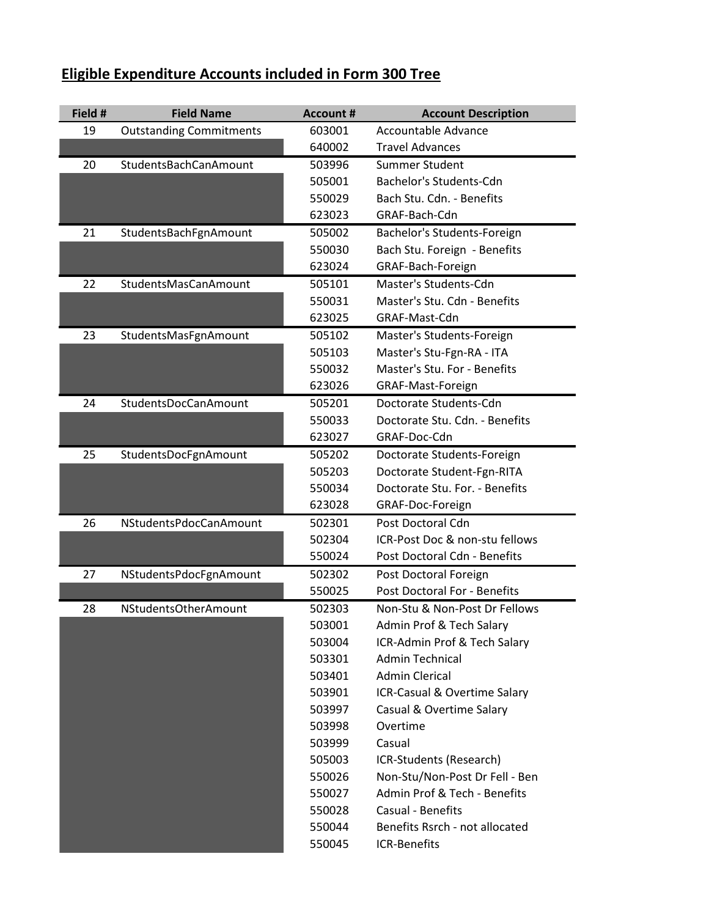| Eligible Expenditure Accounts included in Form 300 Tree |
|---------------------------------------------------------|
|---------------------------------------------------------|

| Field # | <b>Field Name</b>              | <b>Account #</b> | <b>Account Description</b>     |
|---------|--------------------------------|------------------|--------------------------------|
| 19      | <b>Outstanding Commitments</b> | 603001           | Accountable Advance            |
|         |                                | 640002           | <b>Travel Advances</b>         |
| 20      | StudentsBachCanAmount          | 503996           | Summer Student                 |
|         |                                | 505001           | Bachelor's Students-Cdn        |
|         |                                | 550029           | Bach Stu. Cdn. - Benefits      |
|         |                                | 623023           | GRAF-Bach-Cdn                  |
| 21      | StudentsBachFgnAmount          | 505002           | Bachelor's Students-Foreign    |
|         |                                | 550030           | Bach Stu. Foreign - Benefits   |
|         |                                | 623024           | GRAF-Bach-Foreign              |
| 22      | StudentsMasCanAmount           | 505101           | Master's Students-Cdn          |
|         |                                | 550031           | Master's Stu. Cdn - Benefits   |
|         |                                | 623025           | GRAF-Mast-Cdn                  |
| 23      | StudentsMasFgnAmount           | 505102           | Master's Students-Foreign      |
|         |                                | 505103           | Master's Stu-Fgn-RA - ITA      |
|         |                                | 550032           | Master's Stu. For - Benefits   |
|         |                                | 623026           | GRAF-Mast-Foreign              |
| 24      | StudentsDocCanAmount           | 505201           | Doctorate Students-Cdn         |
|         |                                | 550033           | Doctorate Stu. Cdn. - Benefits |
|         |                                | 623027           | GRAF-Doc-Cdn                   |
| 25      | StudentsDocFgnAmount           | 505202           | Doctorate Students-Foreign     |
|         |                                | 505203           | Doctorate Student-Fgn-RITA     |
|         |                                | 550034           | Doctorate Stu. For. - Benefits |
|         |                                | 623028           | GRAF-Doc-Foreign               |
| 26      | NStudentsPdocCanAmount         | 502301           | Post Doctoral Cdn              |
|         |                                | 502304           | ICR-Post Doc & non-stu fellows |
|         |                                | 550024           | Post Doctoral Cdn - Benefits   |
| 27      | NStudentsPdocFgnAmount         | 502302           | Post Doctoral Foreign          |
|         |                                | 550025           | Post Doctoral For - Benefits   |
| 28      | NStudentsOtherAmount           | 502303           | Non-Stu & Non-Post Dr Fellows  |
|         |                                | 503001           | Admin Prof & Tech Salary       |
|         |                                | 503004           | ICR-Admin Prof & Tech Salary   |
|         |                                | 503301           | <b>Admin Technical</b>         |
|         |                                | 503401           | <b>Admin Clerical</b>          |
|         |                                | 503901           | ICR-Casual & Overtime Salary   |
|         |                                | 503997           | Casual & Overtime Salary       |
|         |                                | 503998           | Overtime                       |
|         |                                | 503999           | Casual                         |
|         |                                | 505003           | ICR-Students (Research)        |
|         |                                | 550026           | Non-Stu/Non-Post Dr Fell - Ben |
|         |                                | 550027           | Admin Prof & Tech - Benefits   |
|         |                                | 550028           | <b>Casual - Benefits</b>       |
|         |                                | 550044           | Benefits Rsrch - not allocated |
|         |                                | 550045           | <b>ICR-Benefits</b>            |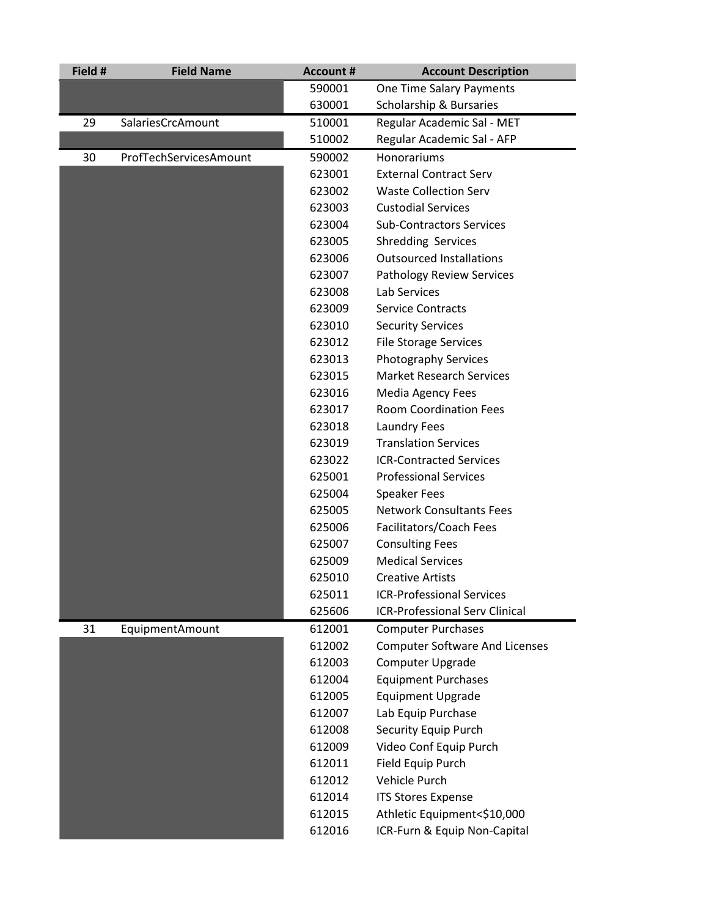| Field # | <b>Field Name</b>      | <b>Account #</b> | <b>Account Description</b>            |
|---------|------------------------|------------------|---------------------------------------|
|         |                        | 590001           | One Time Salary Payments              |
|         |                        | 630001           | Scholarship & Bursaries               |
| 29      | SalariesCrcAmount      | 510001           | Regular Academic Sal - MET            |
|         |                        | 510002           | Regular Academic Sal - AFP            |
| 30      | ProfTechServicesAmount | 590002           | Honorariums                           |
|         |                        | 623001           | <b>External Contract Serv</b>         |
|         |                        | 623002           | <b>Waste Collection Serv</b>          |
|         |                        | 623003           | <b>Custodial Services</b>             |
|         |                        | 623004           | <b>Sub-Contractors Services</b>       |
|         |                        | 623005           | <b>Shredding Services</b>             |
|         |                        | 623006           | <b>Outsourced Installations</b>       |
|         |                        | 623007           | Pathology Review Services             |
|         |                        | 623008           | <b>Lab Services</b>                   |
|         |                        | 623009           | <b>Service Contracts</b>              |
|         |                        | 623010           | <b>Security Services</b>              |
|         |                        | 623012           | <b>File Storage Services</b>          |
|         |                        | 623013           | Photography Services                  |
|         |                        | 623015           | <b>Market Research Services</b>       |
|         |                        | 623016           | Media Agency Fees                     |
|         |                        | 623017           | <b>Room Coordination Fees</b>         |
|         |                        | 623018           | <b>Laundry Fees</b>                   |
|         |                        | 623019           | <b>Translation Services</b>           |
|         |                        | 623022           | <b>ICR-Contracted Services</b>        |
|         |                        | 625001           | <b>Professional Services</b>          |
|         |                        | 625004           | <b>Speaker Fees</b>                   |
|         |                        | 625005           | <b>Network Consultants Fees</b>       |
|         |                        | 625006           | Facilitators/Coach Fees               |
|         |                        | 625007           | <b>Consulting Fees</b>                |
|         |                        | 625009           | <b>Medical Services</b>               |
|         |                        | 625010           | <b>Creative Artists</b>               |
|         |                        | 625011           | <b>ICR-Professional Services</b>      |
|         |                        | 625606           | <b>ICR-Professional Serv Clinical</b> |
| 31      | EquipmentAmount        | 612001           | <b>Computer Purchases</b>             |
|         |                        | 612002           | <b>Computer Software And Licenses</b> |
|         |                        | 612003           | Computer Upgrade                      |
|         |                        | 612004           | <b>Equipment Purchases</b>            |
|         |                        | 612005           | <b>Equipment Upgrade</b>              |
|         |                        | 612007           | Lab Equip Purchase                    |
|         |                        | 612008           | <b>Security Equip Purch</b>           |
|         |                        | 612009           | Video Conf Equip Purch                |
|         |                        | 612011           | Field Equip Purch                     |
|         |                        | 612012           | Vehicle Purch                         |
|         |                        | 612014           | <b>ITS Stores Expense</b>             |
|         |                        | 612015           | Athletic Equipment<\$10,000           |
|         |                        | 612016           | ICR-Furn & Equip Non-Capital          |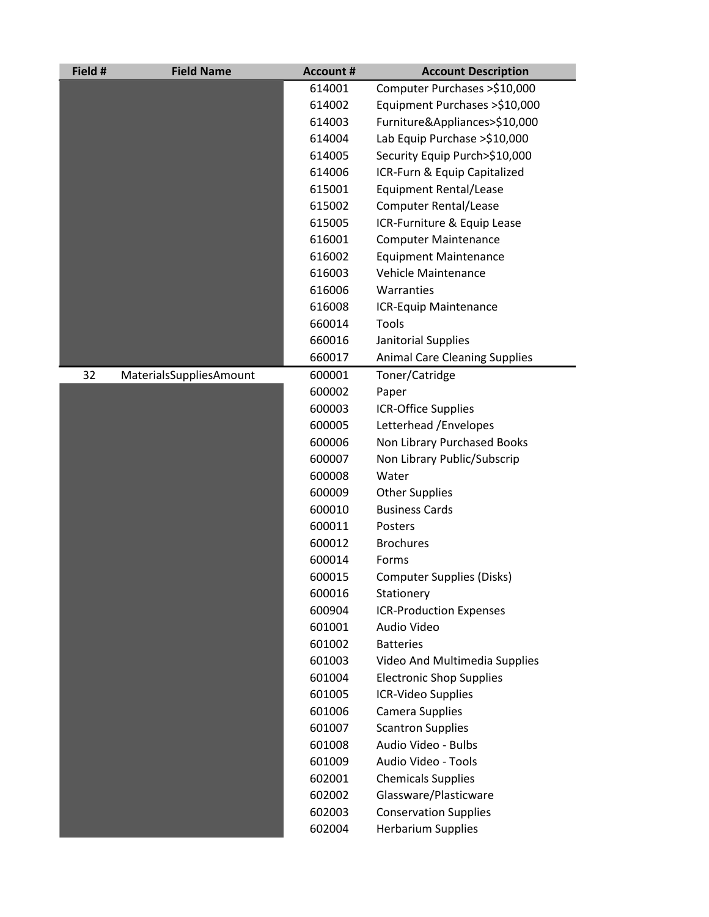| Field # | <b>Field Name</b>       | <b>Account #</b> | <b>Account Description</b>           |
|---------|-------------------------|------------------|--------------------------------------|
|         |                         | 614001           | Computer Purchases >\$10,000         |
|         |                         | 614002           | Equipment Purchases >\$10,000        |
|         |                         | 614003           | Furniture&Appliances>\$10,000        |
|         |                         | 614004           | Lab Equip Purchase >\$10,000         |
|         |                         | 614005           | Security Equip Purch>\$10,000        |
|         |                         | 614006           | ICR-Furn & Equip Capitalized         |
|         |                         | 615001           | <b>Equipment Rental/Lease</b>        |
|         |                         | 615002           | <b>Computer Rental/Lease</b>         |
|         |                         | 615005           | ICR-Furniture & Equip Lease          |
|         |                         | 616001           | <b>Computer Maintenance</b>          |
|         |                         | 616002           | <b>Equipment Maintenance</b>         |
|         |                         | 616003           | Vehicle Maintenance                  |
|         |                         | 616006           | Warranties                           |
|         |                         | 616008           | ICR-Equip Maintenance                |
|         |                         | 660014           | Tools                                |
|         |                         | 660016           | Janitorial Supplies                  |
|         |                         | 660017           | <b>Animal Care Cleaning Supplies</b> |
| 32      | MaterialsSuppliesAmount | 600001           | Toner/Catridge                       |
|         |                         | 600002           | Paper                                |
|         |                         | 600003           | <b>ICR-Office Supplies</b>           |
|         |                         | 600005           | Letterhead / Envelopes               |
|         |                         | 600006           | Non Library Purchased Books          |
|         |                         | 600007           | Non Library Public/Subscrip          |
|         |                         | 600008           | Water                                |
|         |                         | 600009           | <b>Other Supplies</b>                |
|         |                         | 600010           | <b>Business Cards</b>                |
|         |                         | 600011           | Posters                              |
|         |                         | 600012           | <b>Brochures</b>                     |
|         |                         | 600014           | Forms                                |
|         |                         | 600015           | <b>Computer Supplies (Disks)</b>     |
|         |                         | 600016           | Stationery                           |
|         |                         | 600904           | <b>ICR-Production Expenses</b>       |
|         |                         | 601001           | Audio Video                          |
|         |                         | 601002           | <b>Batteries</b>                     |
|         |                         | 601003           | Video And Multimedia Supplies        |
|         |                         | 601004           | <b>Electronic Shop Supplies</b>      |
|         |                         | 601005           | ICR-Video Supplies                   |
|         |                         | 601006           | Camera Supplies                      |
|         |                         | 601007           | <b>Scantron Supplies</b>             |
|         |                         | 601008           | Audio Video - Bulbs                  |
|         |                         | 601009           | Audio Video - Tools                  |
|         |                         | 602001           | <b>Chemicals Supplies</b>            |
|         |                         | 602002           | Glassware/Plasticware                |
|         |                         | 602003           | <b>Conservation Supplies</b>         |
|         |                         | 602004           | <b>Herbarium Supplies</b>            |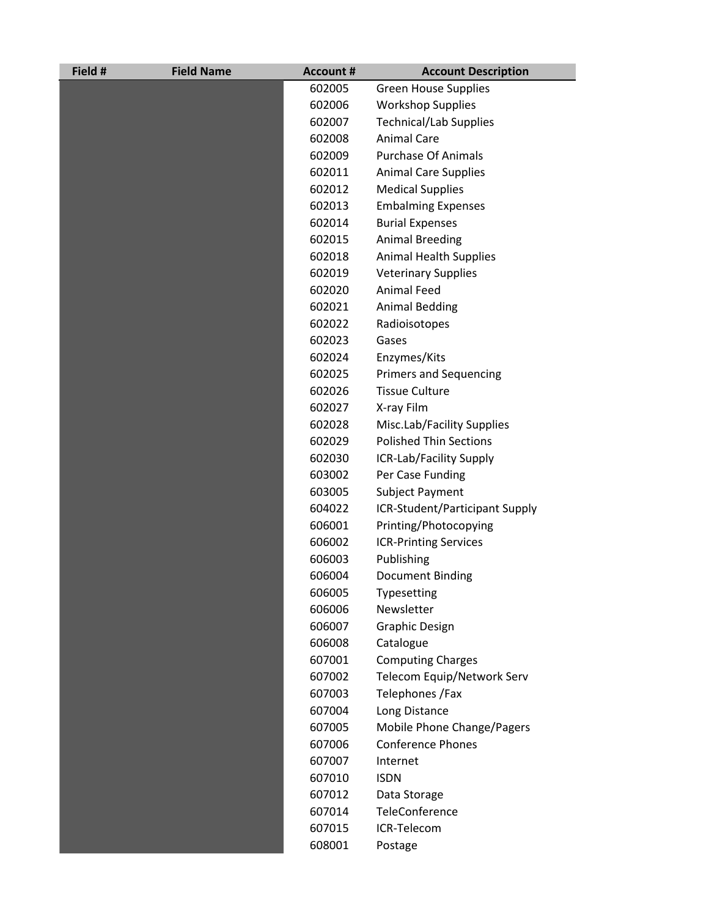| Field # | <b>Field Name</b> | <b>Account #</b> | <b>Account Description</b>     |
|---------|-------------------|------------------|--------------------------------|
|         |                   | 602005           | <b>Green House Supplies</b>    |
|         |                   | 602006           | <b>Workshop Supplies</b>       |
|         |                   | 602007           | <b>Technical/Lab Supplies</b>  |
|         |                   | 602008           | <b>Animal Care</b>             |
|         |                   | 602009           | <b>Purchase Of Animals</b>     |
|         |                   | 602011           | <b>Animal Care Supplies</b>    |
|         |                   | 602012           | <b>Medical Supplies</b>        |
|         |                   | 602013           | <b>Embalming Expenses</b>      |
|         |                   | 602014           | <b>Burial Expenses</b>         |
|         |                   | 602015           | <b>Animal Breeding</b>         |
|         |                   | 602018           | <b>Animal Health Supplies</b>  |
|         |                   | 602019           | <b>Veterinary Supplies</b>     |
|         |                   | 602020           | <b>Animal Feed</b>             |
|         |                   | 602021           | <b>Animal Bedding</b>          |
|         |                   | 602022           | Radioisotopes                  |
|         |                   | 602023           | Gases                          |
|         |                   | 602024           | Enzymes/Kits                   |
|         |                   | 602025           | <b>Primers and Sequencing</b>  |
|         |                   | 602026           | <b>Tissue Culture</b>          |
|         |                   | 602027           | X-ray Film                     |
|         |                   | 602028           | Misc.Lab/Facility Supplies     |
|         |                   | 602029           | <b>Polished Thin Sections</b>  |
|         |                   | 602030           | ICR-Lab/Facility Supply        |
|         |                   | 603002           | Per Case Funding               |
|         |                   | 603005           | Subject Payment                |
|         |                   | 604022           | ICR-Student/Participant Supply |
|         |                   | 606001           | Printing/Photocopying          |
|         |                   | 606002           | <b>ICR-Printing Services</b>   |
|         |                   | 606003           | Publishing                     |
|         |                   | 606004           | Document Binding               |
|         |                   | 606005           | Typesetting                    |
|         |                   | 606006           | Newsletter                     |
|         |                   | 606007           | <b>Graphic Design</b>          |
|         |                   | 606008           | Catalogue                      |
|         |                   | 607001           | <b>Computing Charges</b>       |
|         |                   | 607002           | Telecom Equip/Network Serv     |
|         |                   | 607003           | Telephones / Fax               |
|         |                   | 607004           | Long Distance                  |
|         |                   | 607005           | Mobile Phone Change/Pagers     |
|         |                   | 607006           | <b>Conference Phones</b>       |
|         |                   | 607007           | Internet                       |
|         |                   | 607010           | <b>ISDN</b>                    |
|         |                   | 607012           | Data Storage                   |
|         |                   | 607014           | TeleConference                 |
|         |                   | 607015           | ICR-Telecom                    |
|         |                   | 608001           | Postage                        |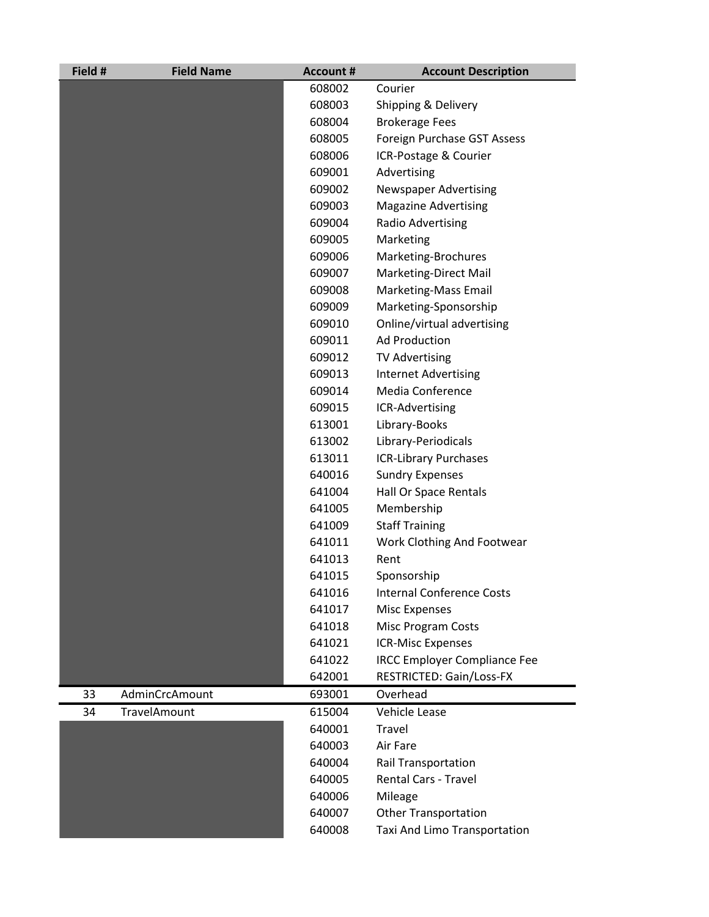| Field # | <b>Field Name</b> | <b>Account #</b> | <b>Account Description</b>          |
|---------|-------------------|------------------|-------------------------------------|
|         |                   | 608002           | Courier                             |
|         |                   | 608003           | Shipping & Delivery                 |
|         |                   | 608004           | <b>Brokerage Fees</b>               |
|         |                   | 608005           | Foreign Purchase GST Assess         |
|         |                   | 608006           | ICR-Postage & Courier               |
|         |                   | 609001           | Advertising                         |
|         |                   | 609002           | <b>Newspaper Advertising</b>        |
|         |                   | 609003           | <b>Magazine Advertising</b>         |
|         |                   | 609004           | Radio Advertising                   |
|         |                   | 609005           | Marketing                           |
|         |                   | 609006           | Marketing-Brochures                 |
|         |                   | 609007           | Marketing-Direct Mail               |
|         |                   | 609008           | Marketing-Mass Email                |
|         |                   | 609009           | Marketing-Sponsorship               |
|         |                   | 609010           | Online/virtual advertising          |
|         |                   | 609011           | <b>Ad Production</b>                |
|         |                   | 609012           | <b>TV Advertising</b>               |
|         |                   | 609013           | <b>Internet Advertising</b>         |
|         |                   | 609014           | <b>Media Conference</b>             |
|         |                   | 609015           | ICR-Advertising                     |
|         |                   | 613001           | Library-Books                       |
|         |                   | 613002           | Library-Periodicals                 |
|         |                   | 613011           | <b>ICR-Library Purchases</b>        |
|         |                   | 640016           | <b>Sundry Expenses</b>              |
|         |                   | 641004           | Hall Or Space Rentals               |
|         |                   | 641005           | Membership                          |
|         |                   | 641009           | <b>Staff Training</b>               |
|         |                   | 641011           | Work Clothing And Footwear          |
|         |                   | 641013           | Rent                                |
|         |                   | 641015           | Sponsorship                         |
|         |                   | 641016           | <b>Internal Conference Costs</b>    |
|         |                   | 641017           | <b>Misc Expenses</b>                |
|         |                   | 641018           | <b>Misc Program Costs</b>           |
|         |                   | 641021           | <b>ICR-Misc Expenses</b>            |
|         |                   | 641022           | <b>IRCC Employer Compliance Fee</b> |
|         |                   | 642001           | RESTRICTED: Gain/Loss-FX            |
| 33      | AdminCrcAmount    | 693001           | Overhead                            |
| 34      | TravelAmount      | 615004           | Vehicle Lease                       |
|         |                   | 640001           | <b>Travel</b>                       |
|         |                   | 640003           | Air Fare                            |
|         |                   | 640004           | Rail Transportation                 |
|         |                   | 640005           | <b>Rental Cars - Travel</b>         |
|         |                   | 640006           | Mileage                             |
|         |                   | 640007           | <b>Other Transportation</b>         |
|         |                   | 640008           | Taxi And Limo Transportation        |